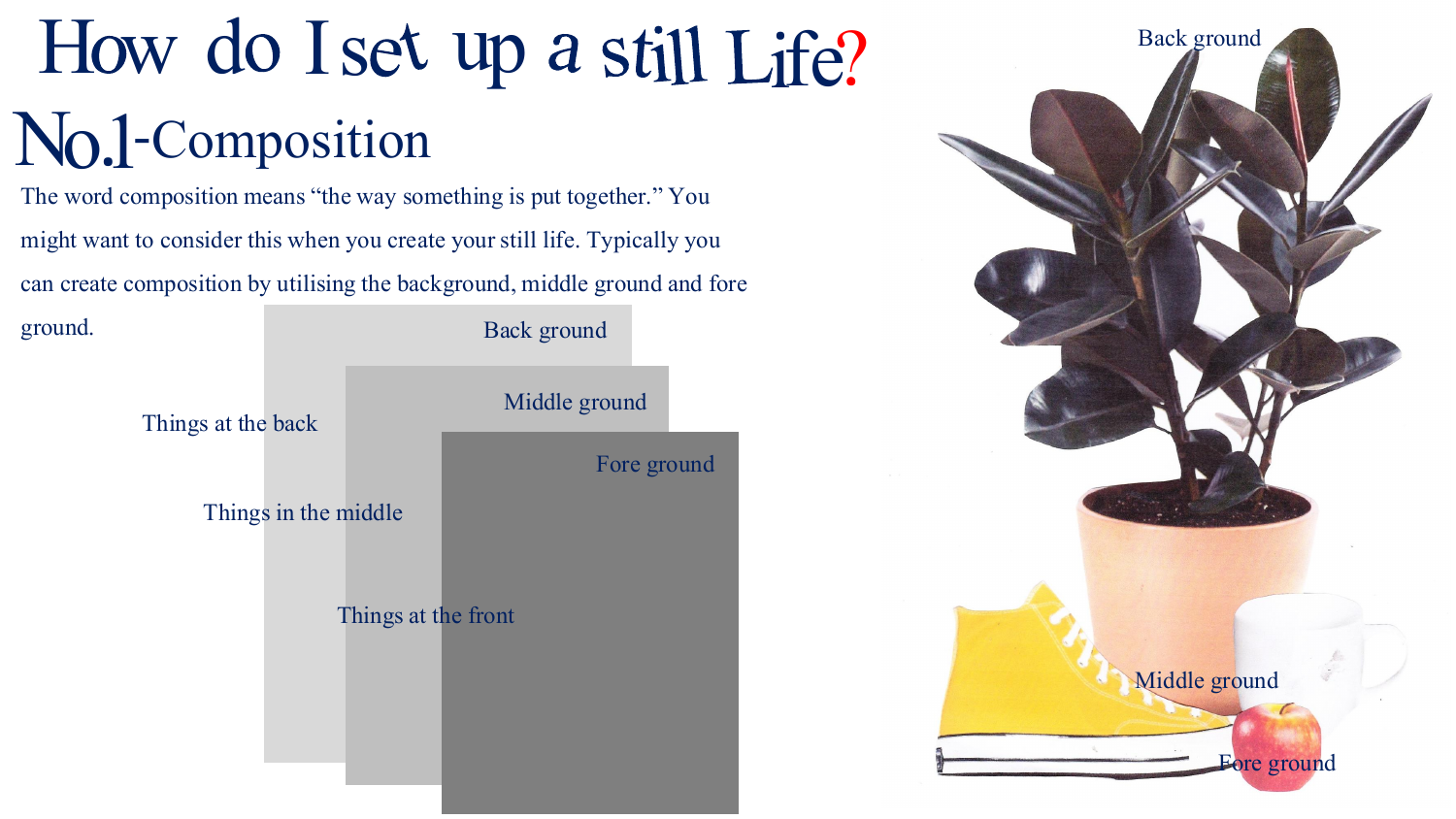### How do I set up a still Life? No.1-Composition

The word composition means "the way something is put together." You might want to consider this when you create your still life. Typically you can create composition by utilising the background, middle ground and fore



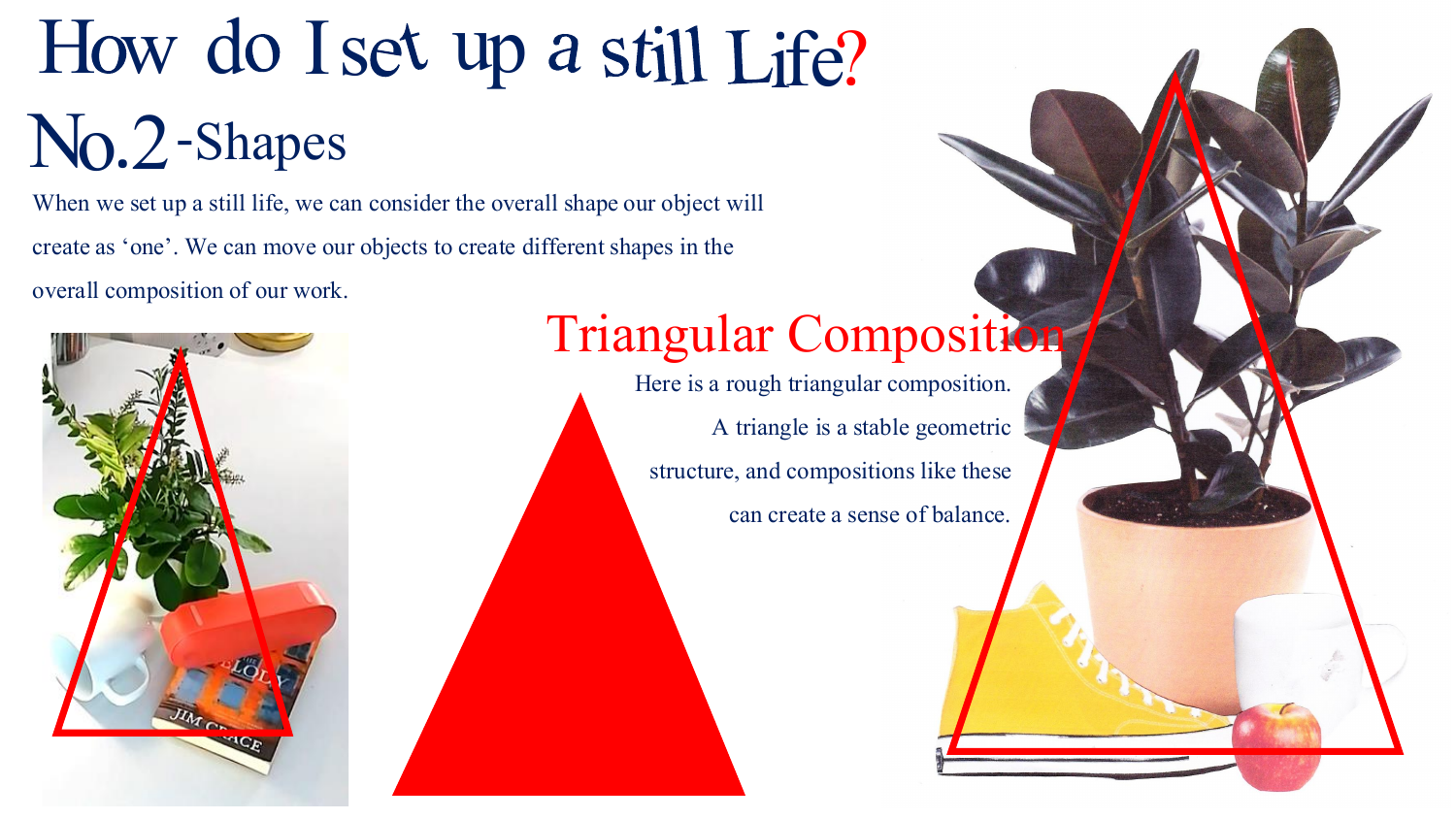### How do I set up a still Life? No.2-Shapes

When we set up a still life, we can consider the overall shape our object will create as 'one'. We can move our objects to create different shapes in the overall composition of our work.



#### Triangular Composition

Here is a rough triangular composition. A triangle is a stable geometric structure, and compositions like these can create a sense of balance.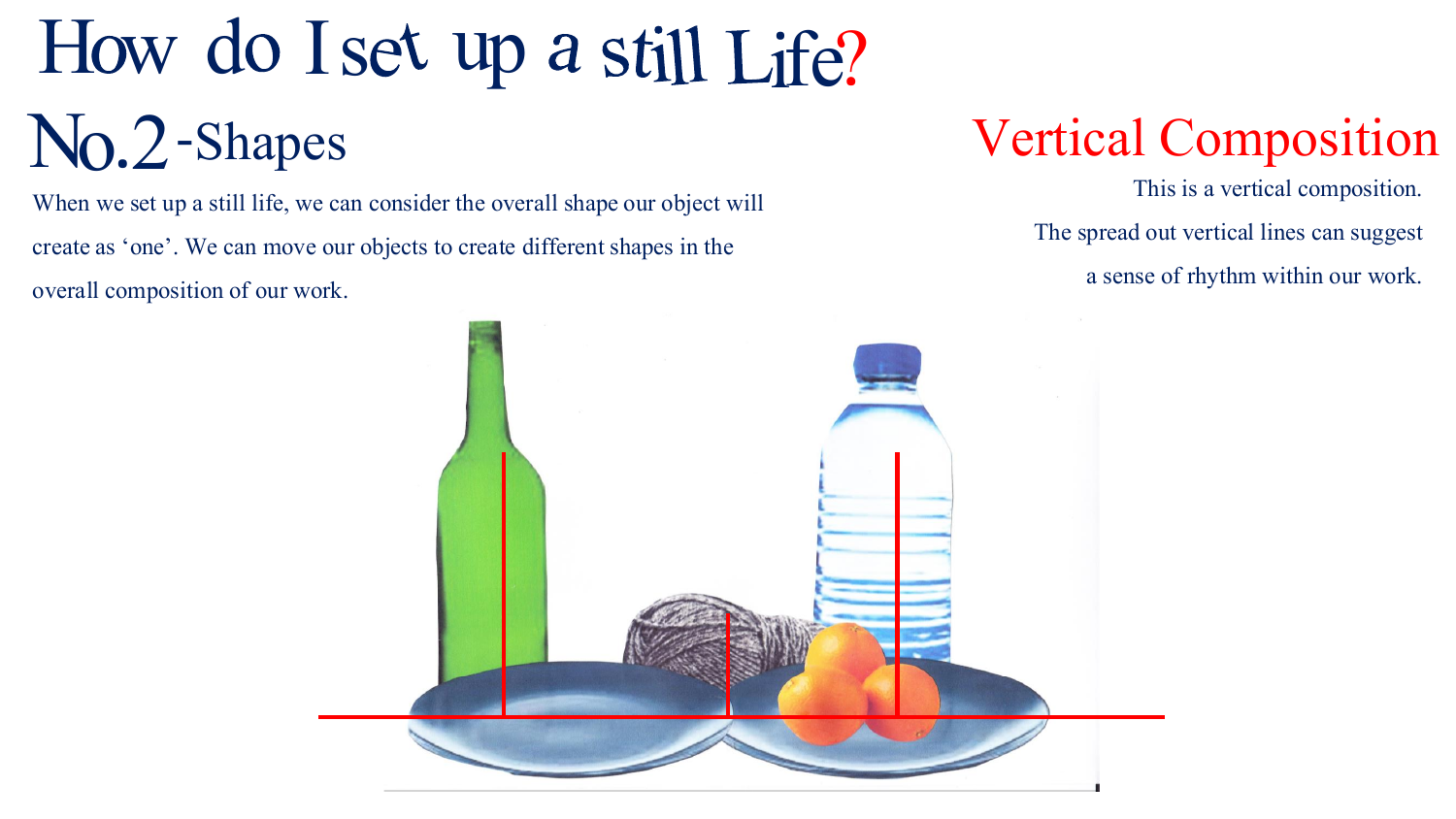## How do I set up a still Life? No.2-Shapes

When we set up a still life, we can consider the overall shape our object will create as 'one'. We can move our objects to create different shapes in the overall composition of our work.

#### Vertical Composition

This is a vertical composition. The spread out vertical lines can suggest a sense of rhythm within our work.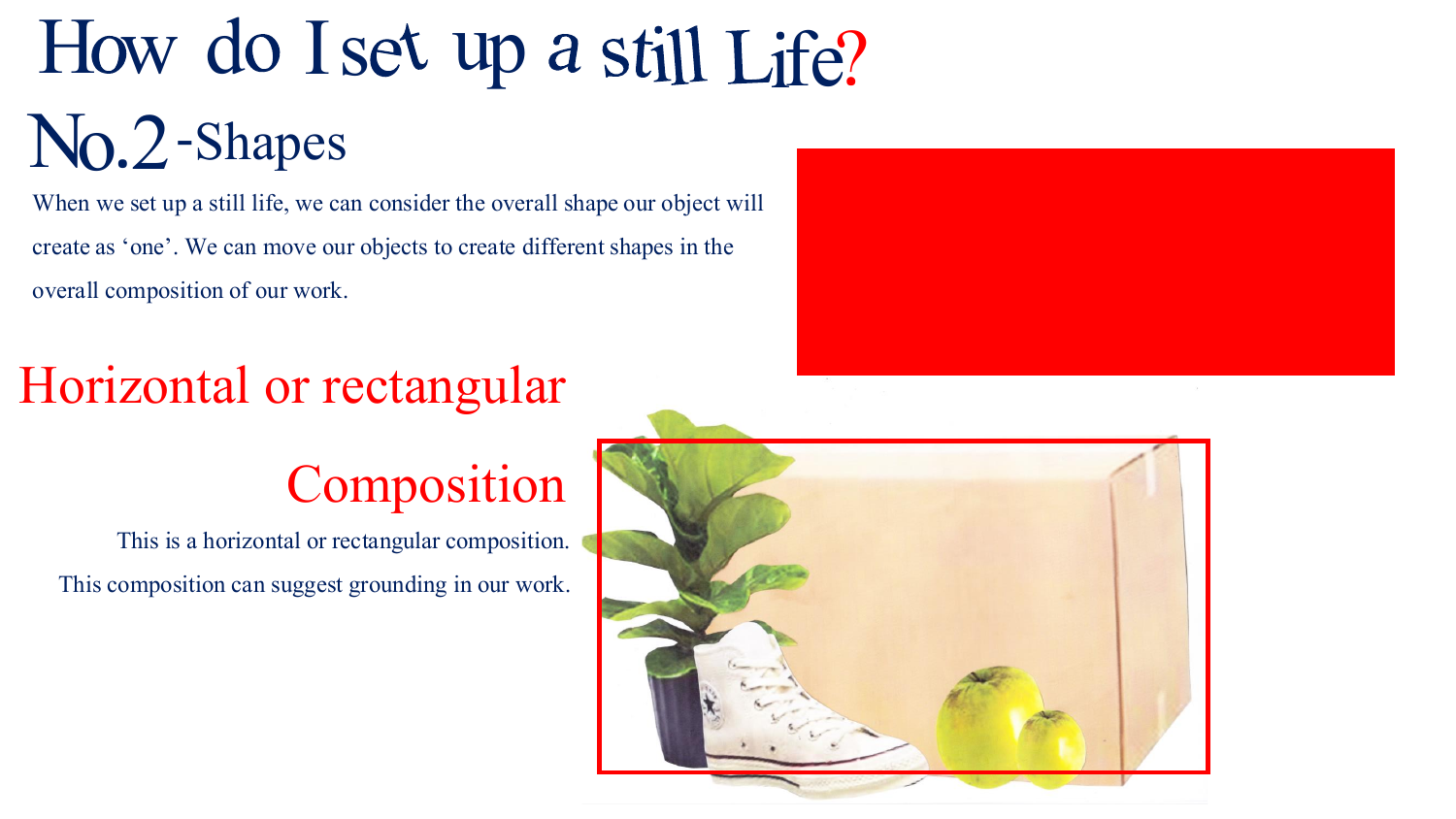## How do I set up a still Life? No.2-Shapes

When we set up a still life, we can consider the overall shape our object will create as 'one'. We can move our objects to create different shapes in the overall composition of our work.

#### Horizontal or rectangular

#### Composition

This is a horizontal or rectangular composition. This composition can suggest grounding in our work.



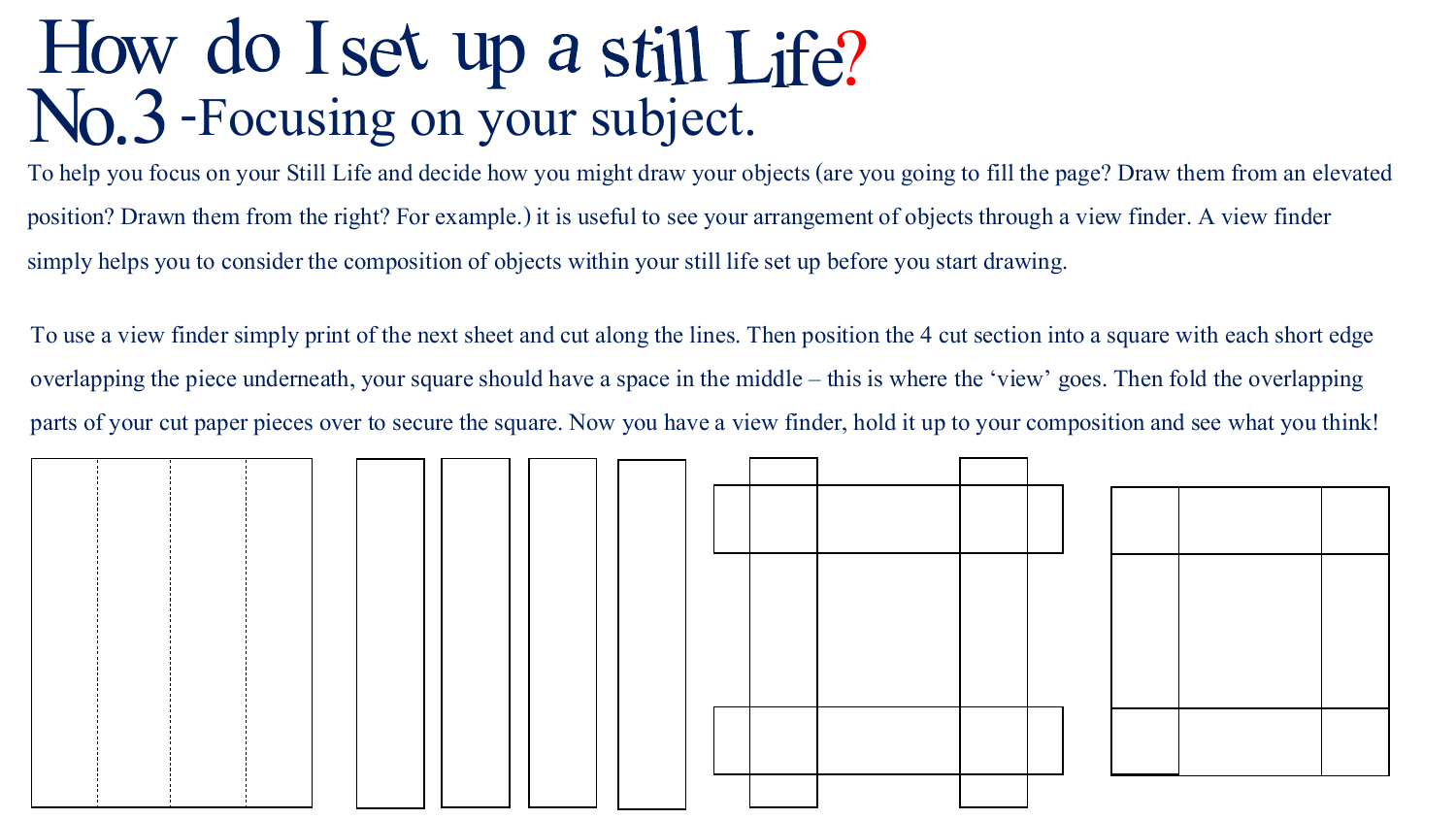# How do I set up a still Life? No.3 Focusing on your subject.

To help you focus on your Still Life and decide how you might draw your objects (are you going to fill the page? Draw them from an elevated position? Drawn them from the right? For example.) it is useful to see your arrangement of objects through a view finder. A view finder simply helps you to consider the composition of objects within your still life set up before you start drawing.

To use a view finder simply print of the next sheet and cut along the lines. Then position the 4 cut section into a square with each short edge overlapping the piece underneath, your square should have a space in the middle – this is where the 'view' goes. Then fold the overlapping parts of your cut paper pieces over to secure the square. Now you have a view finder, hold it up to your composition and see what you think!